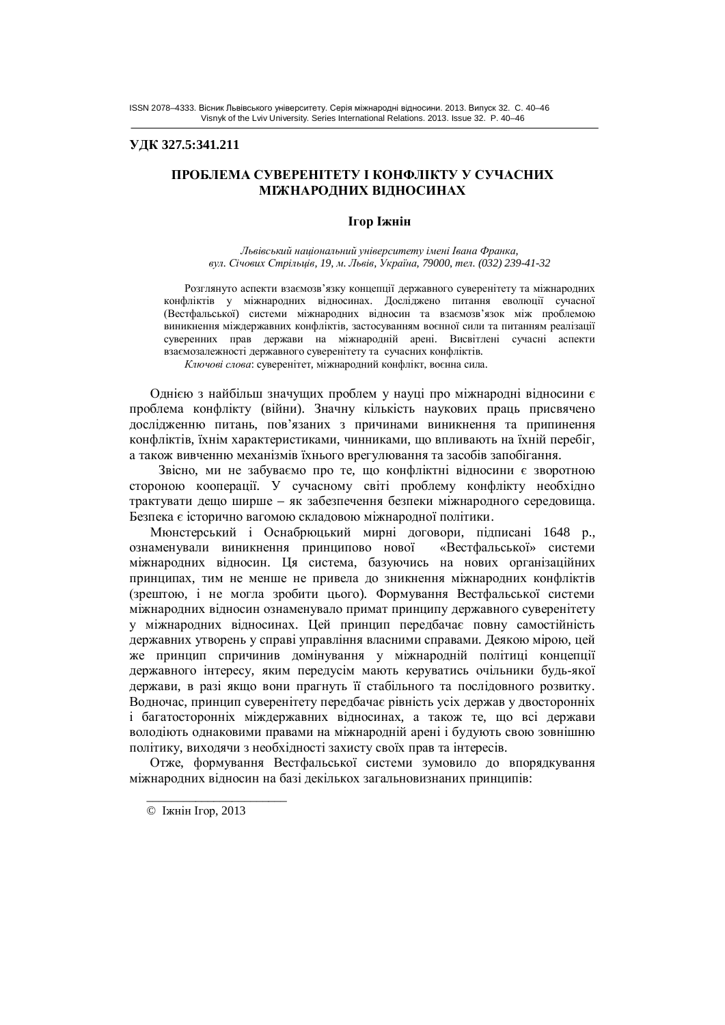### **ɍȾɄ 327.5:341.211**

# ПРОБЛЕМА СУВЕРЕНІТЕТУ І КОНФЛІКТУ У СУЧАСНИХ **МІЖНАРОДНИХ ВІДНОСИНАХ**

#### **Ігор Іжнін**

*ɅɶɜɿɜɫɶɤɢɣɧɚɰɿɨɧɚɥɶɧɢɣɭɧɿɜɟɪɫɢɬɟɬɭɿɦɟɧɿȱɜɚɧɚɎɪɚɧɤɚ, ɜɭɥ. ɋɿɱɨɜɢɯɋɬɪɿɥɶɰɿɜ, 19, ɦ. Ʌɶɜɿɜ, ɍɤɪɚʀɧɚ, 79000, ɬɟɥ. (032) 239-41-32*

Розглянуто аспекти взаємозв'язку концепції державного суверенітету та міжнародних конфліктів у міжнародних відносинах. Досліджено питання еволюції сучасної (Вестфальської) системи міжнародних відносин та взаємозв'язок між проблемою виникнення міждержавних конфліктів, застосуванням воєнної сили та питанням реалізації суверенних прав держави на міжнародній арені. Висвітлені сучасні аспекти взаємозалежності державного суверенітету та сучасних конфліктів.

Ключові слова: суверенітет, міжнародний конфлікт, воєнна сила.

Однією з найбільш значущих проблем у науці про міжнародні відносини є проблема конфлікту (війни). Значну кількість наукових праць присвячено дослідженню питань, пов'язаних з причинами виникнення та припинення конфліктів, їхнім характеристиками, чинниками, що впливають на їхній перебіг, а також вивченню механізмів їхнього врегулювання та засобів запобігання.

Звісно, ми не забуваємо про те, що конфліктні відносини є зворотною стороною кооперації. У сучасному світі проблему конфлікту необхідно трактувати дещо ширше – як забезпечення безпеки міжнародного середовища. Безпека є історично вагомою складовою міжнародної політики.

Мюнстерський і Оснабрюцький мирні договори, підписані 1648 р., ознаменували виникнення принципово нової «Вестфальської» системи міжнародних відносин. Ця система, базуючись на нових організаційних принципах, тим не менше не привела до зникнення міжнародних конфліктів (зрештою, і не могла зробити цього). Формування Вестфальської системи міжнародних відносин ознаменувало примат принципу державного суверенітету у міжнародних відносинах. Цей принцип передбачає повну самостійність державних утворень у справі управління власними справами. Деякою мірою, цей же принцип спричинив домінування у міжнародній політиці концепції державного інтересу, яким передусім мають керуватись очільники будь-якої держави, в разі якщо вони прагнуть її стабільного та послідовного розвитку. Водночас, принцип суверенітету передбачає рівність усіх держав у двосторонніх і багатосторонніх міждержавних відносинах, а також те, що всі держави володіють однаковими правами на міжнародній арені і будують свою зовнішню політику, виходячи з необхідності захисту своїх прав та інтересів.

Отже, формування Вестфальської системи зумовило до впорядкування міжнародних відносин на базі декількох загальновизнаних принципів:

\_\_\_\_\_\_\_\_\_\_\_\_\_\_\_\_\_\_\_\_\_\_\_

<sup>©</sup> Іжнін Ігор, 2013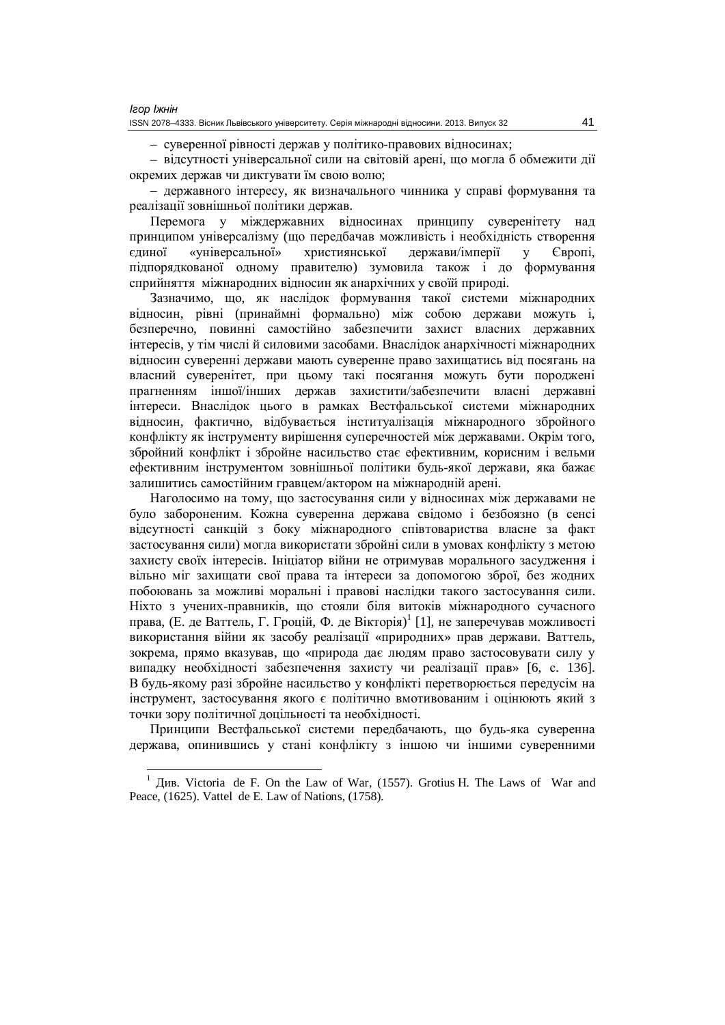– суверенної рівності держав у політико-правових відносинах;

– відсутності універсальної сили на світовій арені, що могла б обмежити дії окремих держав чи диктувати їм свою волю;

– державного інтересу, як визначального чинника у справі формування та реалізації зовнішньої політики держав.

Перемога у міждержавних відносинах принципу суверенітету над принципом універсалізму (що передбачав можливість і необхідність створення єдиної «універсальної» християнської держави/імперії у Європі, підпорядкованої одному правителю) зумовила також і до формування сприйняття міжнародних відносин як анархічних у своїй природі.

Зазначимо, що, як наслідок формування такої системи міжнародних відносин, рівні (принаймні формально) між собою держави можуть і, безперечно, повинні самостійно забезпечити захист власних державних інтересів, у тім числі й силовими засобами. Внаслідок анархічності міжнародних відносин суверенні держави мають суверенне право захищатись від посягань на власний суверенітет, при цьому такі посягання можуть бути породжені прагненням іншої/інших держав захистити/забезпечити власні державні інтереси. Внаслідок цього в рамках Вестфальської системи міжнародних відносин, фактично, відбувається інституалізація міжнародного збройного конфлікту як інструменту вирішення суперечностей між державами. Окрім того, збройний конфлікт і збройне насильство стає ефективним, корисним і вельми ефективним інструментом зовнішньої політики будь-якої держави, яка бажає залишитись самостійним гравцем/актором на міжнародній арені.

Наголосимо на тому, що застосування сили у відносинах між державами не було забороненим. Кожна суверенна держава свідомо і безбоязно (в сенсі відсутності санкцій з боку міжнародного співтовариства власне за факт застосування сили) могла використати збройні сили в умовах конфлікту з метою захисту своїх інтересів. Ініціатор війни не отримував морального засудження і вільно міг захищати свої права та інтереси за допомогою зброї, без жодних побоювань за можливі моральні і правові наслідки такого застосування сили. Ніхто з учених-правників, що стояли біля витоків міжнародного сучасного права, (Е. де Ваттель, Г. Гроцій, Ф. де Вікторія)<sup>1</sup> [1], не заперечував можливості використання війни як засобу реалізації «природних» прав держави. Ваттель, зокрема, прямо вказував, що «природа дає людям право застосовувати силу у випадку необхідності забезпечення захисту чи реалізації прав» [6, с. 136]. В будь-якому разі збройне насильство у конфлікті перетворюється передусім на інструмент, застосування якого є політично вмотивованим і оцінюють який з точки зору політичної доцільності та необхідності.

Принципи Вестфальської системи передбачають, що будь-яка суверенна держава, опинившись у стані конфлікту з іншою чи іншими суверенними

 $<sup>1</sup>$  Див. Victoria de F. On the Law of War, (1557). Grotius H. The Laws of War and</sup> Peace, (1625). Vattel de E. Law of Nations, (1758).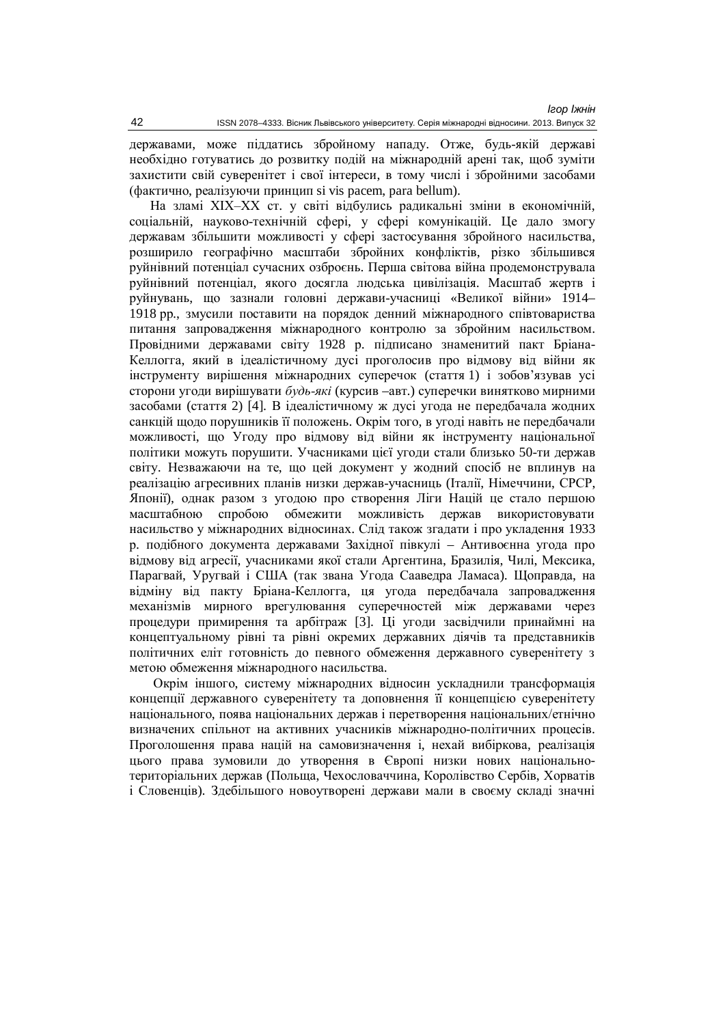державами, може піддатись збройному нападу. Отже, будь-якій державі необхідно готуватись до розвитку подій на міжнародній арені так, щоб зуміти захистити свій суверенітет і свої інтереси, в тому числі і збройними засобами (фактично, реалізуючи принцип si vis pacem, para bellum).

На зламі XIX-XX ст. у світі відбулись радикальні зміни в економічній, соціальній, науково-технічній сфері, у сфері комунікацій. Це дало змогу державам збільшити можливості у сфері застосування збройного насильства, розширило географічно масштаби збройних конфліктів, різко збільшився руйнівний потенціал сучасних озброєнь. Перша світова війна продемонструвала руйнівний потенціал, якого досягла людська цивілізація. Масштаб жертв і руйнувань, що зазнали головні держави-учасниці «Великої війни» 1914– 1918 рр., змусили поставити на порядок денний міжнародного співтовариства питання запровалження міжнародного контролю за збройним насильством. Провідними державами світу 1928 р. підписано знаменитий пакт Бріана-Келлогга, який в ідеалістичному дусі проголосив про відмову від війни як інструменту вирішення міжнародних суперечок (стаття 1) і зобов'язував усі сторони угоди вирішувати будь-які (курсив –авт.) суперечки винятково мирними засобами (стаття 2) [4]. В ідеалістичному ж дусі угода не передбачала жодних санкцій щодо порушників її положень. Окрім того, в угоді навіть не передбачали можливості, що Уголу про вілмову віл війни як інструменту національної політики можуть порушити. Учасниками цієї угоди стали близько 50-ти держав світу. Незважаючи на те, що цей документ у жодний спосіб не вплинув на реалізацію агресивних планів низки держав-учасниць (Італії, Німеччини, СРСР, Японії), однак разом з угодою про створення Ліги Націй це стало першою масштабною спробою обмежити можливість держав використовувати насильство у міжнародних відносинах. Слід також згалати і про укладення 1933 р. подібного документа державами Західної півкулі – Антивоєнна угода про відмову від агресії, учасниками якої стали Аргентина, Бразилія, Чилі, Мексика, Парагвай, Уругвай і США (так звана Угода Сааведра Ламаса). Щоправда, на відміну від пакту Бріана-Келлогга, ця угода передбачала запровадження механізмів мирного врегулювання суперечностей між державами через процедури примирення та арбітраж [3]. Ці угоди засвідчили принаймні на концептуальному рівні та рівні окремих державних діячів та представників політичних еліт готовність до певного обмеження державного суверенітету з метою обмеження міжнародного насильства.

Окрім іншого, систему міжнародних відносин ускладнили трансформація концепції державного суверенітету та доповнення її концепцією суверенітету національного, поява національних держав і перетворення національних/етнічно визначених спільнот на активних учасників міжнародно-політичних процесів. Проголошення права націй на самовизначення і, нехай вибіркова, реалізація цього права зумовили до утворення в Європі низки нових національнотериторіальних держав (Польща, Чехословаччина, Королівство Сербів, Хорватів і Словенців). Здебільшого новоутворені держави мали в своєму складі значні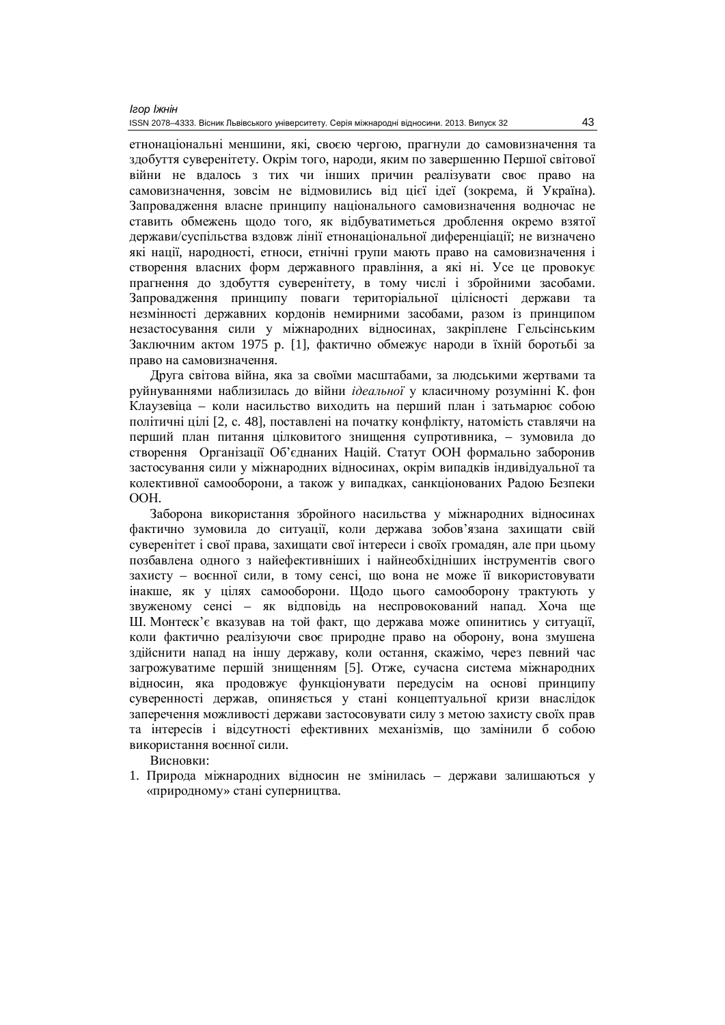етнонаціональні меншини, які, своєю чергою, прагнули до самовизначення та здобуття суверенітету. Окрім того, народи, яким по завершенню Першої світової війни не вдалось з тих чи інших причин реалізувати своє право на самовизначення, зовсім не відмовились від цієї ідеї (зокрема, й Україна). Запровадження власне принципу національного самовизначення водночас не ставить обмежень щодо того, як відбуватиметься дроблення окремо взятої держави/суспільства вздовж лінії етнонаціональної диференціації; не визначено які нації, народності, етноси, етнічні групи мають право на самовизначення і створення власних форм державного правління, а які ні. Усе це провокує прагнення до здобуття суверенітету, в тому числі і збройними засобами. Запровадження принципу поваги територіальної цілісності держави та незмінності державних кордонів немирними засобами, разом із принципом незастосування сили у міжнародних відносинах, закріплене Гельсінським Заключним актом 1975 р. [1], фактично обмежує народи в їхній боротьбі за право на самовизначення.

Друга світова війна, яка за своїми масштабами, за людськими жертвами та руйнуваннями наблизилась до війни *ідеальної* у класичному розумінні К. фон Клаузевіца – коли насильство виходить на перший план і затьмарює собою політичні цілі [2, с. 48], поставлені на початку конфлікту, натомість ставлячи на перший план питання пілковитого знишення супротивника, – зумовила ло створення Організації Об'єднаних Націй. Статут ООН формально заборонив застосування сили у міжнародних відносинах, окрім випадків індивідуальної та колективної самооборони, а також у випадках, санкціонованих Радою Безпеки OOH.

Заборона використання збройного насильства у міжнародних відносинах фактично зумовила до ситуації, коли держава зобов'язана захищати свій суверенітет і свої права, захищати свої інтереси і своїх громадян, але при цьому позбавлена одного з найефективніших і найнеобхідніших інструментів свого захисту – воєнної сили, в тому сенсі, що вона не може її використовувати інакше, як у цілях самооборони. Щодо цього самооборону трактують у звуженому сенсі – як відповідь на неспровокований напад. Хоча ще Ш. Монтеск'є вказував на той факт, що держава може опинитись у ситуації, коли фактично реалізуючи своє природне право на оборону, вона змушена здійснити напад на іншу державу, коли остання, скажімо, через певний час загрожуватиме першій знищенням [5]. Отже, сучасна система міжнародних відносин, яка продовжує функціонувати передусім на основі принципу суверенності держав, опиняється у стані концептуальної кризи внаслідок заперечення можливості держави застосовувати силу з метою захисту своїх прав та інтересів і відсутності ефективних механізмів, що замінили б собою використання воєнної сили.

Висновки:

1. Природа міжнародних відносин не змінилась – держави залишаються у «природному» стані суперництва.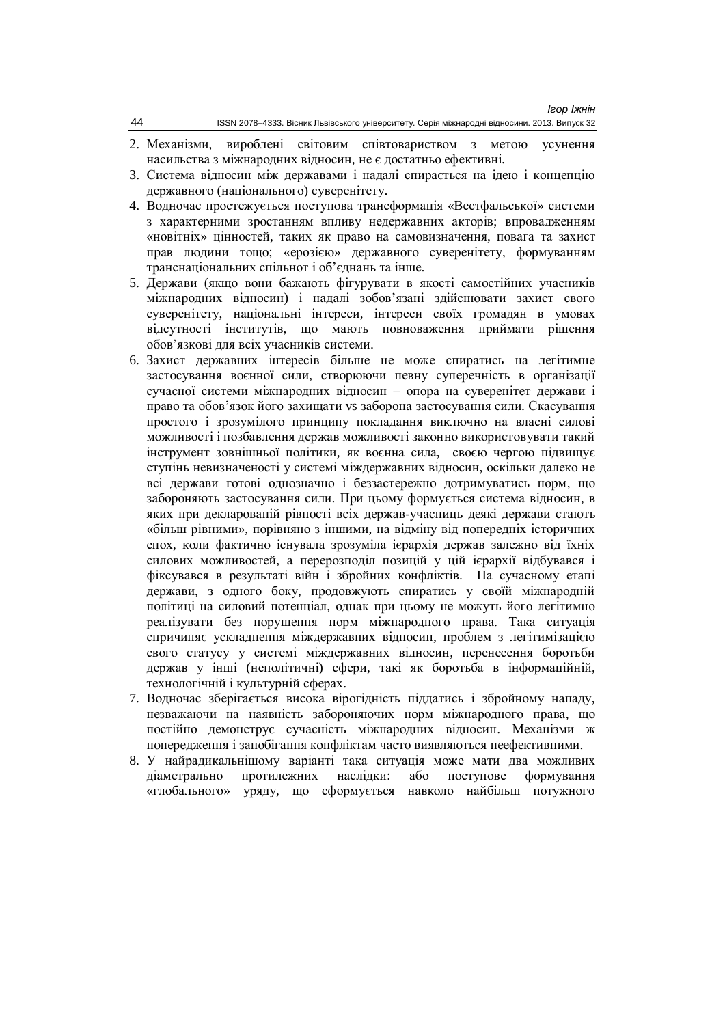- 2. Механізми, вироблені світовим співтовариством з метою усунення насильства з міжнародних відносин, не є достатньо ефективні.
- 3. Система відносин між державами і надалі спирається на ідею і концепцію державного (національного) суверенітету.
- 4. Водночас простежується поступова трансформація «Вестфальської» системи з характерними зростанням впливу недержавних акторів; впровадженням «новітніх» цінностей, таких як право на самовизначення, повага та захист прав людини тощо; «ерозією» державного суверенітету, формуванням транснаціональних спільнот і об'єднань та інше.
- 5. Держави (якщо вони бажають фігурувати в якості самостійних учасників міжнародних відносин) і надалі зобов'язані здійснювати захист свого суверенітету, національні інтереси, інтереси своїх громадян в умовах відсутності інститутів, що мають повноваження приймати рішення обов'язкові для всіх учасників системи.
- 6. Захист державних інтересів більше не може спиратись на легітимне застосування воєнної сили, створюючи певну суперечність в організації сучасної системи міжнародних відносин – опора на суверенітет держави і право та обов'язок його захищати vs заборона застосування сили. Скасування простого і зрозумілого принципу покладання виключно на власні силові можливості і позбавлення лержав можливості законно використовувати такий інструмент зовнішньої політики, як воєнна сила, своєю чергою підвищує ступінь невизначеності у системі міждержавних відносин, оскільки далеко не всі держави готові однозначно і беззастережно дотримуватись норм, що забороняють застосування сили. При цьому формується система відносин, в яких при декларованій рівності всіх держав-учасниць деякі держави стають «більш рівними», порівняно з іншими, на вілміну віл поперелніх історичних епох, коли фактично існувала зрозуміла ієрархія держав залежно від їхніх силових можливостей, а перерозподіл позицій у цій ієрархії відбувався і фіксувався в результаті війн і збройних конфліктів. На сучасному етапі держави, з одного боку, продовжують спиратись у своїй міжнародній політиці на силовий потенціал, однак при цьому не можуть його легітимно реалізувати без порушення норм міжнародного права. Така ситуація спричиняє ускладнення міждержавних відносин, проблем з легітимізацією свого статусу у системі міждержавних відносин, перенесення боротьби держав у інші (неполітичні) сфери, такі як боротьба в інформаційній, технологічній і культурній сферах.
- 7. Водночас зберігається висока вірогідність піддатись і збройному нападу, незважаючи на наявність забороняючих норм міжнародного права, що постійно демонструє сучасність міжнародних відносин. Механізми ж попередження і запобігання конфліктам часто виявляються неефективними.
- 8. У найрадикальнішому варіанті така ситуація може мати два можливих діаметрально протилежних наслідки: або поступове формування «глобального» уряду, що сформується навколо найбільш потужного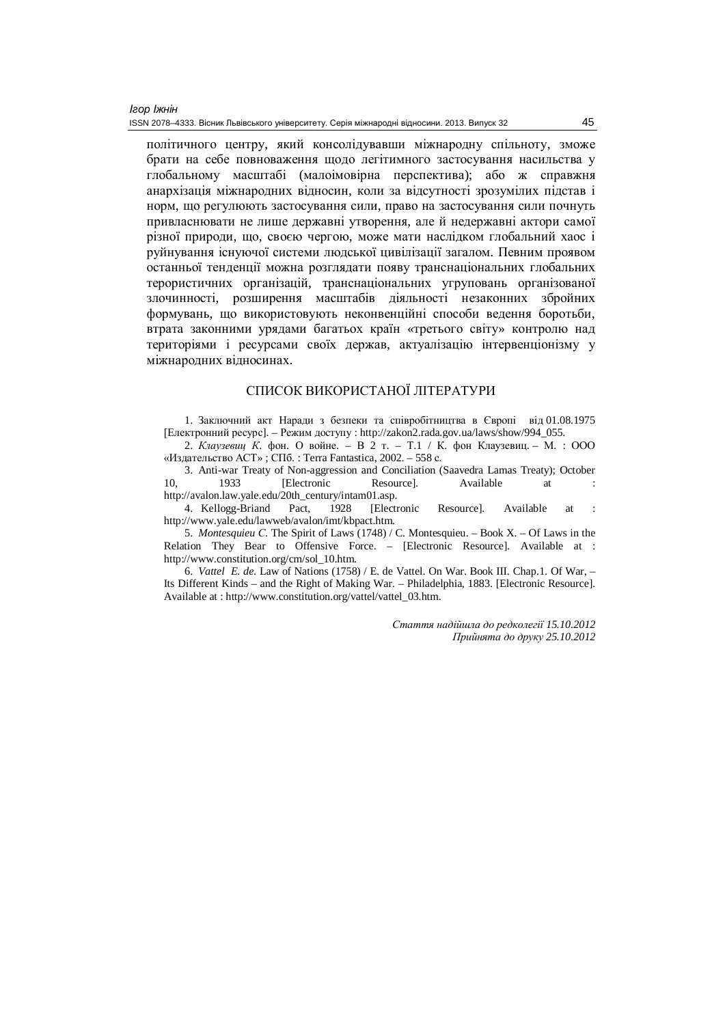політичного центру, який консолідувавши міжнародну спільноту, зможе брати на себе повноваження щодо легітимного застосування насильства у глобальному масштабі (малоімовірна перспектива); або ж справжня анархізація міжнародних відносин, коли за відсутності зрозумілих підстав і норм, що регулюють застосування сили, право на застосування сили почнуть привласнювати не лише державні утворення, але й недержавні актори самої різної природи, що, своєю чергою, може мати наслідком глобальний хаос і руйнування існуючої системи людської цивілізації загалом. Певним проявом останньої тенденції можна розглядати появу транснаціональних глобальних терористичних організацій, транснаціональних угруповань організованої злочинності, розширення масштабів діяльності незаконних збройних формувань, що використовують неконвенційні способи ведення боротьби, **•**<br>• втрата законними урядами багатьох країн «третього світу» контролю над територіями і ресурсами своїх держав, актуалізацію інтервенціонізму у міжнародних відносинах.

### СПИСОК ВИКОРИСТАНОЇ ЛІТЕРАТУРИ

1. Заключний акт Наради з безпеки та співробітництва в Європі від 01.08.1975 [Електронний ресурс]. – Режим доступу : [http://zakon2.rada.gov.ua/laws/show/994\\_055.](http://zakon2.rada.gov.ua/laws/show/994_055.)

2. *Клаузевиц К.* фон. О войне. – В 2 т. – Т.1 / К. фон Клаузевиц. – М. : ООО «Издательство АСТ»; СПб.: Terra Fantastica, 2002. – 558 с.

3. Anti-war Treaty of Non-aggression and Conciliation (Saavedra Lamas Treaty); October 10, 1933 [Electronic Resource]. Available at [http://avalon.law.yale.edu/20th\\_century/intam01.asp.](http://avalon.law.yale.edu/20th_century/intam01.asp.)

4. Kellogg-Briand Pact, 1928 [Electronic Resource]. Available at : <http://www.yale.edu/lawweb/avalon/imt/kbpact.htm.>

5. *Montesquieu C*. The Spirit of Laws (1748) / C. Montesquieu. – Book X. – Of Laws in the Relation They Bear to Offensive Force. – [Electronic Resource]. Available at : [http://www.constitution.org/cm/sol\\_10.htm.](http://www.constitution.org/cm/sol_10.htm.)

6. *Vattel E. de*. Law of Nations (1758) / E. de Vattel. On War. Book III. Chap.1. Of War, – Its Different Kinds – and the Right of Making War. – Philadelphia, 1883. [Electronic Resource]. Available at : [http://www.constitution.org/vattel/vattel\\_03.htm.](http://www.constitution.org/vattel/vattel_03.htm.)

> *ɋɬɚɬɬɹɧɚɞɿɣɲɥɚɞɨɪɟɞɤɨɥɟɝɿʀ 15.10.2012 ɉɪɢɣɧɹɬɚɞɨɞɪɭɤɭ 25.10.2012*